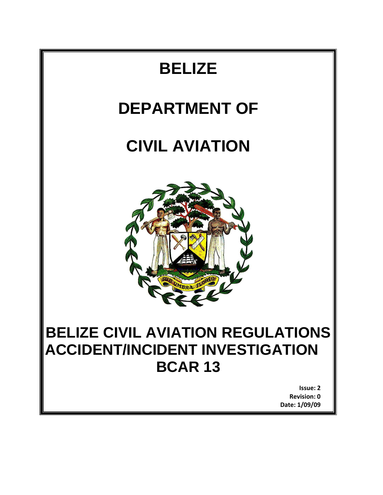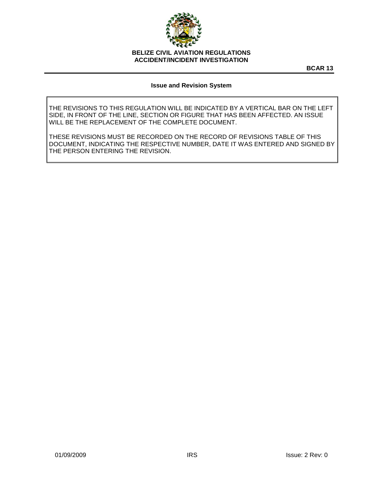

**BCAR 13**

#### **Issue and Revision System**

THE REVISIONS TO THIS REGULATION WILL BE INDICATED BY A VERTICAL BAR ON THE LEFT SIDE, IN FRONT OF THE LINE, SECTION OR FIGURE THAT HAS BEEN AFFECTED. AN ISSUE WILL BE THE REPLACEMENT OF THE COMPLETE DOCUMENT.

THESE REVISIONS MUST BE RECORDED ON THE RECORD OF REVISIONS TABLE OF THIS DOCUMENT, INDICATING THE RESPECTIVE NUMBER, DATE IT WAS ENTERED AND SIGNED BY THE PERSON ENTERING THE REVISION.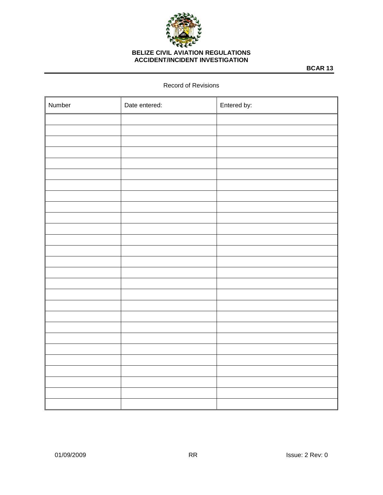

**BCAR 13**

#### Record of Revisions

| Number | Date entered: | Entered by: |
|--------|---------------|-------------|
|        |               |             |
|        |               |             |
|        |               |             |
|        |               |             |
|        |               |             |
|        |               |             |
|        |               |             |
|        |               |             |
|        |               |             |
|        |               |             |
|        |               |             |
|        |               |             |
|        |               |             |
|        |               |             |
|        |               |             |
|        |               |             |
|        |               |             |
|        |               |             |
|        |               |             |
|        |               |             |
|        |               |             |
|        |               |             |
|        |               |             |
|        |               |             |
|        |               |             |
|        |               |             |
|        |               |             |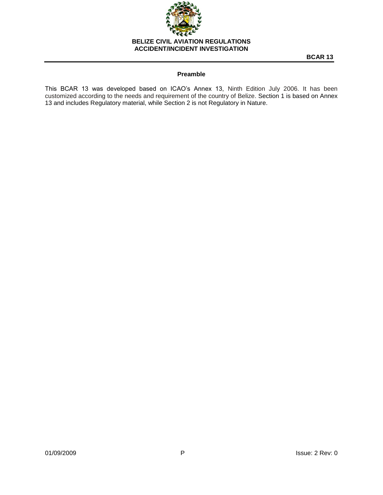

**BCAR 13**

# **Preamble**

This BCAR 13 was developed based on ICAO's Annex 13, Ninth Edition July 2006. It has been customized according to the needs and requirement of the country of Belize. Section 1 is based on Annex 13 and includes Regulatory material, while Section 2 is not Regulatory in Nature.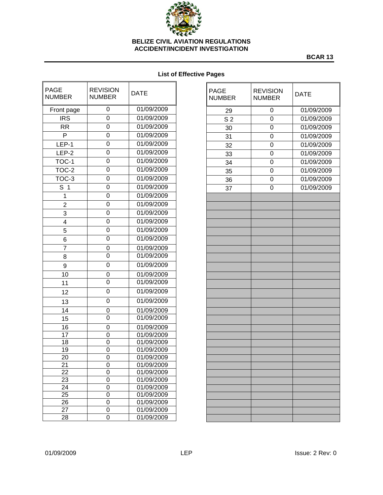

**BCAR 13**

# **List of Effective Pages**

| <b>PAGE</b><br><b>NUMBER</b> | <b>REVISION</b><br><b>DATE</b><br><b>NUMBER</b> |            |  |
|------------------------------|-------------------------------------------------|------------|--|
| Front page                   | 0                                               | 01/09/2009 |  |
| <b>IRS</b>                   | 0                                               | 01/09/2009 |  |
| <b>RR</b>                    | 0                                               | 01/09/2009 |  |
| P                            | 0                                               | 01/09/2009 |  |
| LEP-1                        | 0                                               | 01/09/2009 |  |
| LEP-2                        | 0                                               | 01/09/2009 |  |
| $TOC-1$                      | 0                                               | 01/09/2009 |  |
| TOC-2                        | 0                                               | 01/09/2009 |  |
| TOC-3                        | 0                                               | 01/09/2009 |  |
| S.<br>1                      | 0                                               | 01/09/2009 |  |
| 1                            | 0                                               | 01/09/2009 |  |
| $\overline{2}$               | 0                                               | 01/09/2009 |  |
| 3                            | 0                                               | 01/09/2009 |  |
| 4                            | 0                                               | 01/09/2009 |  |
| 5                            | 0                                               | 01/09/2009 |  |
| 6                            | 0                                               | 01/09/2009 |  |
| 7                            | 0                                               | 01/09/2009 |  |
| 8                            | 0                                               | 01/09/2009 |  |
| 9                            | 0                                               | 01/09/2009 |  |
| 10                           | 0                                               | 01/09/2009 |  |
| 11                           | 0                                               | 01/09/2009 |  |
| 12                           | 0                                               | 01/09/2009 |  |
| 13                           | 0                                               | 01/09/2009 |  |
| 14                           | 0                                               | 01/09/2009 |  |
| 15                           | 0                                               | 01/09/2009 |  |
| $\overline{16}$              | 0                                               | 01/09/2009 |  |
| 17                           | 0                                               | 01/09/2009 |  |
| 18                           | 0                                               | 01/09/2009 |  |
| 19                           | 0                                               | 01/09/2009 |  |
| 20                           | 0                                               | 01/09/2009 |  |
| 21                           | U                                               | 01/09/2009 |  |
| 22                           | 0                                               | 01/09/2009 |  |
| 23                           | 0                                               | 01/09/2009 |  |
| 24                           | 0                                               | 01/09/2009 |  |
| 25                           | 0                                               | 01/09/2009 |  |
| 26                           | 0                                               | 01/09/2009 |  |
| 27                           | 0                                               | 01/09/2009 |  |
| 28                           | 0                                               | 01/09/2009 |  |

| <b>PAGE</b><br><b>NUMBER</b> | <b>REVISION</b><br><b>NUMBER</b> | <b>DATE</b> |  |
|------------------------------|----------------------------------|-------------|--|
| 29                           | 0                                | 01/09/2009  |  |
| S <sub>2</sub>               | 0                                | 01/09/2009  |  |
| 30                           | 0                                | 01/09/2009  |  |
| 31                           | 0                                | 01/09/2009  |  |
| 32                           | 0                                | 01/09/2009  |  |
| 33                           | 0                                | 01/09/2009  |  |
| 34                           | $\mathbf 0$                      | 01/09/2009  |  |
| 35                           | 0                                | 01/09/2009  |  |
| 36                           | 0                                | 01/09/2009  |  |
| 37                           | 0                                | 01/09/2009  |  |
|                              |                                  |             |  |
|                              |                                  |             |  |
|                              |                                  |             |  |
|                              |                                  |             |  |
|                              |                                  |             |  |
|                              |                                  |             |  |
|                              |                                  |             |  |
|                              |                                  |             |  |
|                              |                                  |             |  |
|                              |                                  |             |  |
|                              |                                  |             |  |
|                              |                                  |             |  |
|                              |                                  |             |  |
|                              |                                  |             |  |
|                              |                                  |             |  |
|                              |                                  |             |  |
|                              |                                  |             |  |
|                              |                                  |             |  |
|                              |                                  |             |  |
|                              |                                  |             |  |
|                              |                                  |             |  |
|                              |                                  |             |  |
|                              |                                  |             |  |
|                              |                                  |             |  |
|                              |                                  |             |  |
|                              |                                  |             |  |
|                              |                                  |             |  |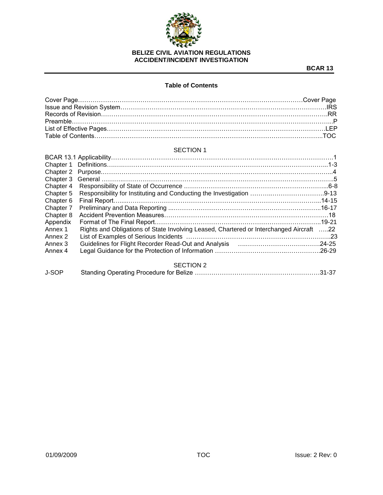

# **Table of Contents**

#### SECTION 1

| Chapter 2 |                                                                                                   |  |
|-----------|---------------------------------------------------------------------------------------------------|--|
| Chapter 3 |                                                                                                   |  |
| Chapter 4 |                                                                                                   |  |
| Chapter 5 |                                                                                                   |  |
| Chapter 6 |                                                                                                   |  |
| Chapter 7 |                                                                                                   |  |
| Chapter 8 |                                                                                                   |  |
| Appendix  |                                                                                                   |  |
| Annex 1   | Rights and Obligations of State Involving Leased, Chartered or Interchanged Aircraft 22           |  |
| Annex 2   |                                                                                                   |  |
| Annex 3   | Guidelines for Flight Recorder Read-Out and Analysis [11, 11, 11, 11, 11, 11, 11, 11, 11, 124-25] |  |
| Annex 4   |                                                                                                   |  |
|           | <b>SECTION 2</b>                                                                                  |  |
|           |                                                                                                   |  |

| J-SOP |  |  |
|-------|--|--|
|       |  |  |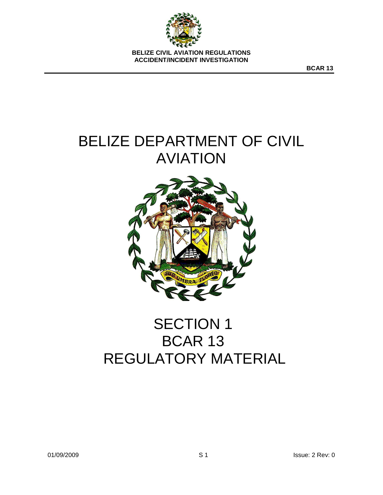

**BCAR 13**

# BELIZE DEPARTMENT OF CIVIL AVIATION



# SECTION 1 BCAR 13 REGULATORY MATERIAL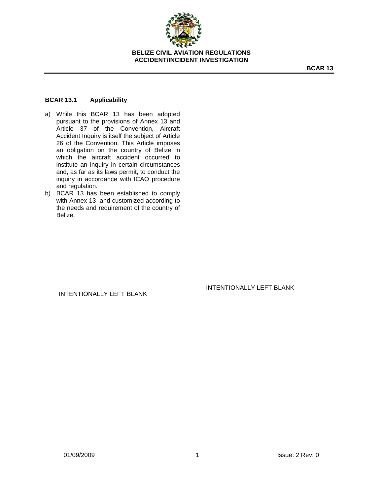

## **BCAR 13.1 Applicability**

- a) While this BCAR 13 has been adopted pursuant to the provisions of Annex 13 and Article 37 of the Convention, Aircraft Accident Inquiry is itself the subject of Article 26 of the Convention. This Article imposes an obligation on the country of Belize in which the aircraft accident occurred to institute an inquiry in certain circumstances and, as far as its laws permit, to conduct the inquiry in accordance with ICAO procedure and regulation.
- b) BCAR 13 has been established to comply with Annex 13 and customized according to the needs and requirement of the country of Belize.

# INTENTIONALLY LEFT BLANK

#### INTENTIONALLY LEFT BLANK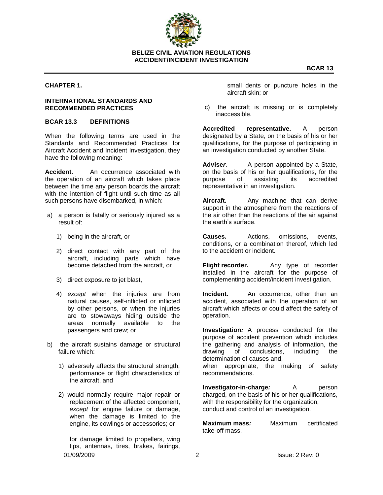

# **ACCIDENT/INCIDENT INVESTIGATION**

#### **CHAPTER 1.**

#### **INTERNATIONAL STANDARDS AND RECOMMENDED PRACTICES**

# **BCAR 13.3 DEFINITIONS**

When the following terms are used in the Standards and Recommended Practices for Aircraft Accident and Incident Investigation, they have the following meaning:

**Accident.** An occurrence associated with the operation of an aircraft which takes place between the time any person boards the aircraft with the intention of flight until such time as all such persons have disembarked, in which:

- a) a person is fatally or seriously injured as a result of:
	- 1) being in the aircraft, or
	- 2) direct contact with any part of the aircraft, including parts which have become detached from the aircraft, or
	- 3) direct exposure to jet blast,
	- 4) *except* when the injuries are from natural causes, self-inflicted or inflicted by other persons, or when the injuries are to stowaways hiding outside the areas normally available to the passengers and crew; or
- b) the aircraft sustains damage or structural failure which:
	- 1) adversely affects the structural strength, performance or flight characteristics of the aircraft, and
	- 2) would normally require major repair or replacement of the affected component, *except* for engine failure or damage, when the damage is limited to the engine, its cowlings or accessories; or

01/09/2009 2 Issue: 2 Rev: 0 for damage limited to propellers, wing tips, antennas, tires, brakes, fairings,

small dents or puncture holes in the aircraft skin; or

c) the aircraft is missing or is completely inaccessible.

**Accredited representative.** A person designated by a State, on the basis of his or her qualifications, for the purpose of participating in an investigation conducted by another State.

**Advise***r*. A person appointed by a State, on the basis of his or her qualifications, for the purpose of assisting its accredited representative in an investigation.

**Aircraft.** Any machine that can derive support in the atmosphere from the reactions of the air other than the reactions of the air against the earth's surface.

**Causes.** Actions, omissions, events, conditions, or a combination thereof, which led to the accident or incident.

**Flight recorder.** Any type of recorder installed in the aircraft for the purpose of complementing accident/incident investigation.

**Incident.** An occurrence, other than an accident, associated with the operation of an aircraft which affects or could affect the safety of operation.

**Investigation***:* A process conducted for the purpose of accident prevention which includes the gathering and analysis of information, the drawing of conclusions, including the determination of causes and, when appropriate, the making of safety

recommendations.

**Investigator-in-charge**: A person charged, on the basis of his or her qualifications, with the responsibility for the organization, conduct and control of an investigation.

**Maximum mass***:* Maximum certificated take-off mass.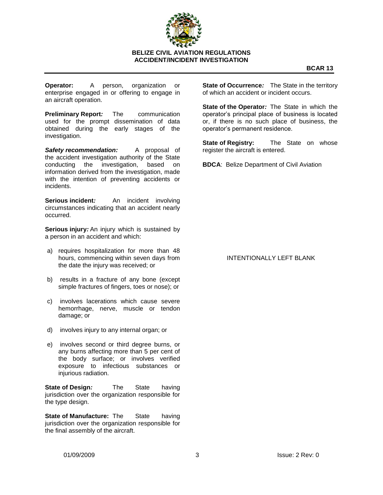

**Operator:** A person, organization or enterprise engaged in or offering to engage in an aircraft operation.

**Preliminary Report***:* The communication used for the prompt dissemination of data obtained during the early stages of the investigation.

*Safety recommendation:* A proposal of the accident investigation authority of the State conducting the investigation, based on information derived from the investigation, made with the intention of preventing accidents or incidents.

**Serious incident***:* An incident involving circumstances indicating that an accident nearly occurred.

**Serious injury***:* An injury which is sustained by a person in an accident and which:

- a) requires hospitalization for more than 48 hours, commencing within seven days from the date the injury was received; or
- b) results in a fracture of any bone (except simple fractures of fingers, toes or nose); or
- c) involves lacerations which cause severe hemorrhage, nerve, muscle or tendon damage; or
- d) involves injury to any internal organ; or
- e) involves second or third degree burns, or any burns affecting more than 5 per cent of the body surface; or involves verified exposure to infectious substances or injurious radiation.

**State of Design***:* The State having jurisdiction over the organization responsible for the type design.

**State of Manufacture:** The State having jurisdiction over the organization responsible for the final assembly of the aircraft.

**State of Occurrence***:* The State in the territory of which an accident or incident occurs.

**State of the Operator***:* The State in which the operator's principal place of business is located or, if there is no such place of business, the operator's permanent residence.

**State of Registry:** The State on whose register the aircraft is entered.

**BDCA**: Belize Department of Civil Aviation

## INTENTIONALLY LEFT BLANK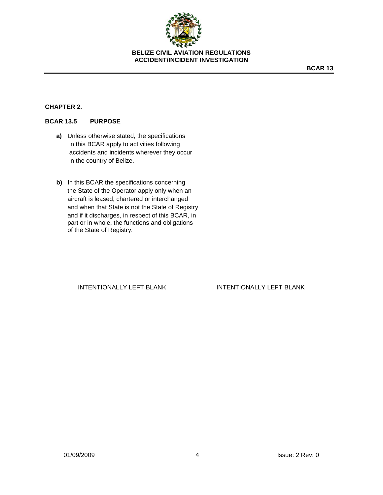

**BCAR 13**

# **CHAPTER 2.**

# **BCAR 13.5 PURPOSE**

- **a)** Unless otherwise stated, the specifications in this BCAR apply to activities following accidents and incidents wherever they occur in the country of Belize.
- **b)** In this BCAR the specifications concerning the State of the Operator apply only when an aircraft is leased, chartered or interchanged and when that State is not the State of Registry and if it discharges, in respect of this BCAR, in part or in whole, the functions and obligations of the State of Registry.

INTENTIONALLY LEFT BLANK INTENTIONALLY LEFT BLANK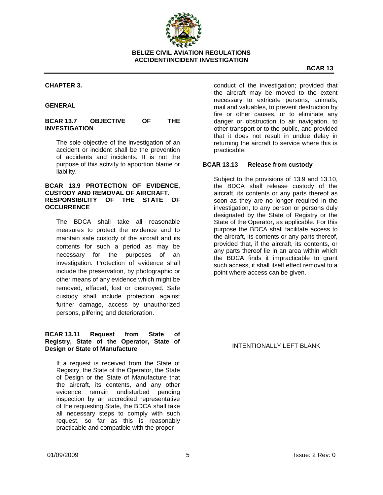

#### **CHAPTER 3.**

#### **GENERAL**

#### **BCAR 13.7 OBJECTIVE OF THE INVESTIGATION**

The sole objective of the investigation of an accident or incident shall be the prevention of accidents and incidents. It is not the purpose of this activity to apportion blame or liability.

#### **BCAR 13.9 PROTECTION OF EVIDENCE, CUSTODY AND REMOVAL OF AIRCRAFT. RESPONSIBILITY OF THE STATE OF OCCURRENCE**

The BDCA shall take all reasonable measures to protect the evidence and to maintain safe custody of the aircraft and its contents for such a period as may be necessary for the purposes of an investigation. Protection of evidence shall include the preservation, by photographic or other means of any evidence which might be removed, effaced, lost or destroyed. Safe custody shall include protection against further damage, access by unauthorized persons, pilfering and deterioration.

#### **BCAR 13.11 Request from State of Registry, State of the Operator, State of Design or State of Manufacture**

If a request is received from the State of Registry, the State of the Operator, the State of Design or the State of Manufacture that the aircraft, its contents, and any other evidence remain undisturbed pending inspection by an accredited representative of the requesting State, the BDCA shall take all necessary steps to comply with such request, so far as this is reasonably practicable and compatible with the proper

conduct of the investigation; provided that the aircraft may be moved to the extent necessary to extricate persons, animals, mail and valuables, to prevent destruction by fire or other causes, or to eliminate any danger or obstruction to air navigation, to other transport or to the public, and provided that it does not result in undue delay in returning the aircraft to service where this is practicable.

#### **BCAR 13.13 Release from custody**

Subject to the provisions of 13.9 and 13.10, the BDCA shall release custody of the aircraft, its contents or any parts thereof as soon as they are no longer required in the investigation, to any person or persons duly designated by the State of Registry or the State of the Operator, as applicable. For this purpose the BDCA shall facilitate access to the aircraft, its contents or any parts thereof, provided that, if the aircraft, its contents, or any parts thereof lie in an area within which the BDCA finds it impracticable to grant such access, it shall itself effect removal to a point where access can be given.

INTENTIONALLY LEFT BLANK

**BCAR 13**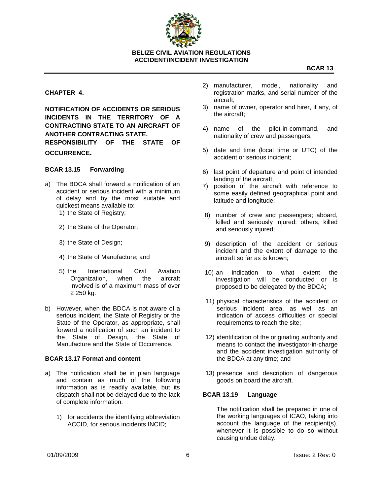

**ACCIDENT/INCIDENT INVESTIGATION**

# **CHAPTER 4.**

**NOTIFICATION OF ACCIDENTS OR SERIOUS INCIDENTS IN THE TERRITORY OF A CONTRACTING STATE TO AN AIRCRAFT OF ANOTHER CONTRACTING STATE. RESPONSIBILITY OF THE STATE OF OCCURRENCE.**

#### **BCAR 13.15 Forwarding**

- a) The BDCA shall forward a notification of an accident or serious incident with a minimum of delay and by the most suitable and quickest means available to: 1) the State of Registry;
	-
	- 2) the State of the Operator;
	- 3) the State of Design;
	- 4) the State of Manufacture; and
	- 5) the International Civil Aviation Organization, when the aircraft involved is of a maximum mass of over 2 250 kg.
- b) However, when the BDCA is not aware of a serious incident, the State of Registry or the State of the Operator, as appropriate, shall forward a notification of such an incident to the State of Design, the State of Manufacture and the State of Occurrence.

#### **BCAR 13.17 Format and content**

- a) The notification shall be in plain language and contain as much of the following information as is readily available, but its dispatch shall not be delayed due to the lack of complete information:
	- 1) for accidents the identifying abbreviation ACCID, for serious incidents INCID;
- 2) manufacturer, model, nationality and registration marks, and serial number of the aircraft;
- 3) name of owner, operator and hirer, if any, of the aircraft;
- 4) name of the pilot-in-command, and nationality of crew and passengers;
- 5) date and time (local time or UTC) of the accident or serious incident;
- 6) last point of departure and point of intended landing of the aircraft;
- 7) position of the aircraft with reference to some easily defined geographical point and latitude and longitude;
- 8) number of crew and passengers; aboard, killed and seriously injured; others, killed and seriously injured;
- 9) description of the accident or serious incident and the extent of damage to the aircraft so far as is known;
- 10) an indication to what extent the investigation will be conducted or is proposed to be delegated by the BDCA;
- 11) physical characteristics of the accident or serious incident area, as well as an indication of access difficulties or special requirements to reach the site;
- 12) identification of the originating authority and means to contact the investigator-in-charge and the accident investigation authority of the BDCA at any time; and
- 13) presence and description of dangerous goods on board the aircraft.

#### **BCAR 13.19 Language**

The notification shall be prepared in one of the working languages of ICAO, taking into account the language of the recipient(s), whenever it is possible to do so without causing undue delay.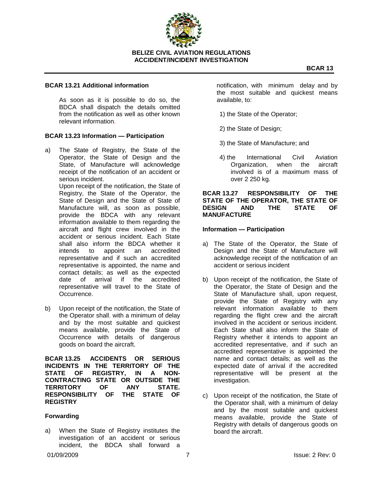

#### **BCAR 13.21 Additional information**

As soon as it is possible to do so, the BDCA shall dispatch the details omitted from the notification as well as other known relevant information.

#### **BCAR 13.23 Information — Participation**

a) The State of Registry, the State of the Operator, the State of Design and the State, of Manufacture will acknowledge receipt of the notification of an accident or serious incident.

> Upon receipt of the notification, the State of Registry, the State of the Operator, the State of Design and the State of State of Manufacture will, as soon as possible, provide the BDCA with any relevant information available to them regarding the aircraft and flight crew involved in the accident or serious incident. Each State shall also inform the BDCA whether it intends to appoint an accredited representative and if such an accredited representative is appointed, the name and contact details; as well as the expected date of arrival if the accredited representative will travel to the State of Occurrence.

b) Upon receipt of the notification, the State of the Operator shall, with a minimum of delay and by the most suitable and quickest means available, provide the State of Occurrence with details of dangerous goods on board the aircraft.

**BCAR 13.25 ACCIDENTS OR SERIOUS INCIDENTS IN THE TERRITORY OF THE STATE OF REGISTRY, IN A NON-CONTRACTING STATE OR OUTSIDE THE TERRITORY OF ANY STATE. RESPONSIBILITY OF THE STATE OF REGISTRY**

#### **Forwarding**

a) When the State of Registry institutes the investigation of an accident or serious incident, the BDCA shall forward a notification, with minimum delay and by the most suitable and quickest means available, to:

- 1) the State of the Operator;
- 2) the State of Design;
- 3) the State of Manufacture; and
- 4) the International Civil Aviation Organization, when the aircraft involved is of a maximum mass of over 2 250 kg.

#### **BCAR 13.27 RESPONSIBILITY OF THE STATE OF THE OPERATOR, THE STATE OF DESIGN AND THE STATE OF MANUFACTURE**

#### **Information — Participation**

- a) The State of the Operator, the State of Design and the State of Manufacture will acknowledge receipt of the notification of an accident or serious incident
- b) Upon receipt of the notification, the State of the Operator, the State of Design and the State of Manufacture shall, upon request, provide the State of Registry with any relevant information available to them regarding the flight crew and the aircraft involved in the accident or serious incident. Each State shall also inform the State of Registry whether it intends to appoint an accredited representative, and if such an accredited representative is appointed the name and contact details; as well as the expected date of arrival if the accredited representative will be present at the investigation.
- c) Upon receipt of the notification, the State of the Operator shall, with a minimum of delay and by the most suitable and quickest means available, provide the State of Registry with details of dangerous goods on board the aircraft.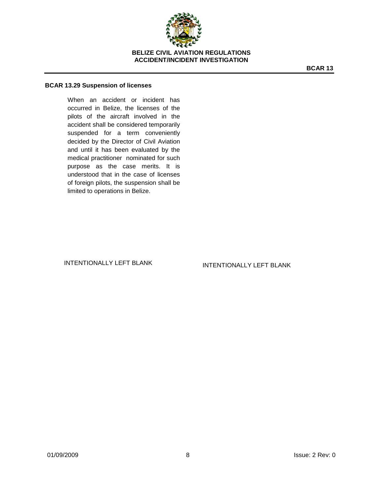

#### **BCAR 13.29 Suspension of licenses**

When an accident or incident has occurred in Belize, the licenses of the pilots of the aircraft involved in the accident shall be considered temporarily suspended for a term conveniently decided by the Director of Civil Aviation and until it has been evaluated by the medical practitioner nominated for such purpose as the case merits. It is understood that in the case of licenses of foreign pilots, the suspension shall be limited to operations in Belize.

INTENTIONALLY LEFT BLANK **INTENTIONALLY LEFT BLANK**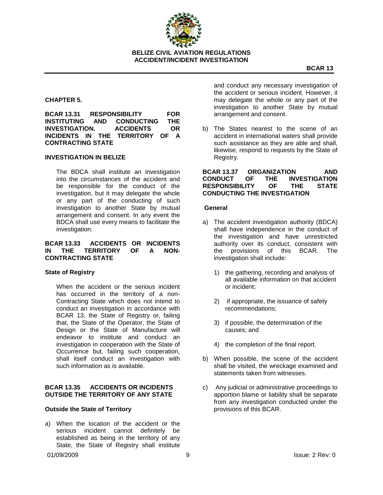

# **CHAPTER 5.**

**BCAR 13.31 RESPONSIBILITY FOR INSTITUTING AND CONDUCTING THE INVESTIGATION. ACCIDENTS OR INCIDENTS IN THE TERRITORY OF A CONTRACTING STATE**

#### **INVESTIGATION IN BELIZE**

The BDCA shall institute an investigation into the circumstances of the accident and be responsible for the conduct of the investigation, but it may delegate the whole or any part of the conducting of such investigation to another State by mutual arrangement and consent. In any event the BDCA shall use every means to facilitate the investigation.

#### **BCAR 13.33 ACCIDENTS OR INCIDENTS IN THE TERRITORY OF A NON-CONTRACTING STATE**

#### **State of Registry**

When the accident or the serious incident has occurred in the territory of a non-Contracting State which does not intend to conduct an investigation in accordance with BCAR 13, the State of Registry or, failing that, the State of the Operator, the State of Design or the State of Manufacture will endeavor to institute and conduct an investigation in cooperation with the State of Occurrence but, failing such cooperation, shall itself conduct an investigation with such information as is available.

#### **BCAR 13.35 ACCIDENTS OR INCIDENTS OUTSIDE THE TERRITORY OF ANY STATE**

#### **Outside the State of Territory**

a) When the location of the accident or the serious incident cannot definitely be established as being in the territory of any State, the State of Registry shall institute

and conduct any necessary investigation of the accident or serious incident. However, it may delegate the whole or any part of the investigation to another State by mutual arrangement and consent.

b) The States nearest to the scene of an accident in international waters shall provide such assistance as they are able and shall, likewise, respond to requests by the State of Registry.

**BCAR 13.37 ORGANIZATION AND CONDUCT OF THE INVESTIGATION RESPONSIBILITY OF THE STATE CONDUCTING THE INVESTIGATION**

#### **General**

- a) The accident investigation authority (BDCA) shall have independence in the conduct of the investigation and have unrestricted authority over its conduct, consistent with the provisions of this BCAR. The investigation shall include:
	- 1) the gathering, recording and analysis of all available information on that accident or incident;
	- 2) if appropriate, the issuance of safety recommendations;
	- 3) if possible, the determination of the causes; and
	- 4) the completion of the final report.
- b) When possible, the scene of the accident shall be visited, the wreckage examined and statements taken from witnesses.
- c) Any judicial or administrative proceedings to apportion blame or liability shall be separate from any investigation conducted under the provisions of this BCAR.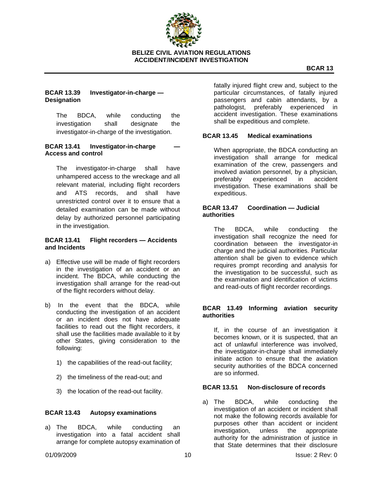

# **BCAR 13.39 Investigator-in-charge — Designation**

The BDCA, while conducting the investigation shall designate the investigator-in-charge of the investigation.

## **BCAR 13.41 Investigator-in-charge Access and control**

The investigator-in-charge shall have unhampered access to the wreckage and all relevant material, including flight recorders and ATS records, and shall have unrestricted control over it to ensure that a detailed examination can be made without delay by authorized personnel participating in the investigation.

# **BCAR 13.41 Flight recorders — Accidents and Incidents**

- a) Effective use will be made of flight recorders in the investigation of an accident or an incident. The BDCA, while conducting the investigation shall arrange for the read-out of the flight recorders without delay.
- b) In the event that the BDCA, while conducting the investigation of an accident or an incident does not have adequate facilities to read out the flight recorders, it shall use the facilities made available to it by other States, giving consideration to the following:
	- 1) the capabilities of the read-out facility;
	- 2) the timeliness of the read-out; and
	- 3) the location of the read-out facility.

#### **BCAR 13.43 Autopsy examinations**

a) The BDCA, while conducting an investigation into a fatal accident shall arrange for complete autopsy examination of fatally injured flight crew and, subject to the particular circumstances, of fatally injured passengers and cabin attendants, by a pathologist, preferably experienced in accident investigation. These examinations shall be expeditious and complete.

## **BCAR 13.45 Medical examinations**

When appropriate, the BDCA conducting an investigation shall arrange for medical examination of the crew, passengers and involved aviation personnel, by a physician, preferably experienced in accident investigation. These examinations shall be expeditious.

#### **BCAR 13.47 Coordination — Judicial authorities**

The BDCA, while conducting the investigation shall recognize the need for coordination between the investigator-in charge and the judicial authorities. Particular attention shall be given to evidence which requires prompt recording and analysis for the investigation to be successful, such as the examination and identification of victims and read-outs of flight recorder recordings.

## **BCAR 13.49 Informing aviation security authorities**

If, in the course of an investigation it becomes known, or it is suspected, that an act of unlawful interference was involved, the investigator-in-charge shall immediately initiate action to ensure that the aviation security authorities of the BDCA concerned are so informed.

#### **BCAR 13.51 Non-disclosure of records**

a) The BDCA, while conducting the investigation of an accident or incident shall not make the following records available for purposes other than accident or incident investigation, unless the appropriate authority for the administration of justice in that State determines that their disclosure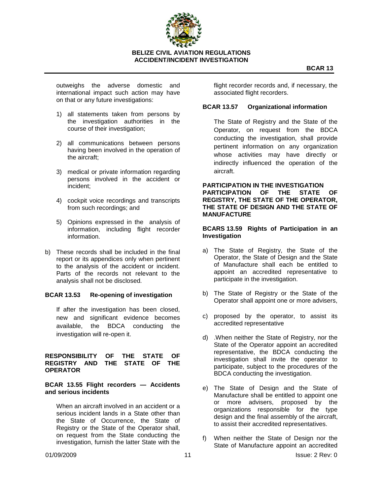

outweighs the adverse domestic and international impact such action may have on that or any future investigations:

- 1) all statements taken from persons by the investigation authorities in the course of their investigation;
- 2) all communications between persons having been involved in the operation of the aircraft;
- 3) medical or private information regarding persons involved in the accident or incident;
- 4) cockpit voice recordings and transcripts from such recordings; and
- 5) Opinions expressed in the analysis of information, including flight recorder information.
- b) These records shall be included in the final report or its appendices only when pertinent to the analysis of the accident or incident. Parts of the records not relevant to the analysis shall not be disclosed*.*

#### **BCAR 13.53 Re-opening of investigation**

If after the investigation has been closed, new and significant evidence becomes available, the BDCA conducting the investigation will re-open it.

#### **RESPONSIBILITY OF THE STATE OF REGISTRY AND THE STATE OF THE OPERATOR**

#### **BCAR 13.55 Flight recorders — Accidents and serious incidents**

When an aircraft involved in an accident or a serious incident lands in a State other than the State of Occurrence, the State of Registry or the State of the Operator shall, on request from the State conducting the investigation, furnish the latter State with the

flight recorder records and, if necessary, the associated flight recorders.

#### **BCAR 13.57 Organizational information**

The State of Registry and the State of the Operator, on request from the BDCA conducting the investigation, shall provide pertinent information on any organization whose activities may have directly or indirectly influenced the operation of the aircraft.

**PARTICIPATION IN THE INVESTIGATION PARTICIPATION OF THE STATE OF REGISTRY, THE STATE OF THE OPERATOR, THE STATE OF DESIGN AND THE STATE OF MANUFACTURE**

#### **BCARS 13.59 Rights of Participation in an Investigation**

- a) The State of Registry, the State of the Operator, the State of Design and the State of Manufacture shall each be entitled to appoint an accredited representative to participate in the investigation.
- b) The State of Registry or the State of the Operator shall appoint one or more advisers,
- c) proposed by the operator, to assist its accredited representative
- d) .When neither the State of Registry, nor the State of the Operator appoint an accredited representative, the BDCA conducting the investigation shall invite the operator to participate, subject to the procedures of the BDCA conducting the investigation.
- e) The State of Design and the State of Manufacture shall be entitled to appoint one or more advisers, proposed by the organizations responsible for the type design and the final assembly of the aircraft, to assist their accredited representatives.
- f) When neither the State of Design nor the State of Manufacture appoint an accredited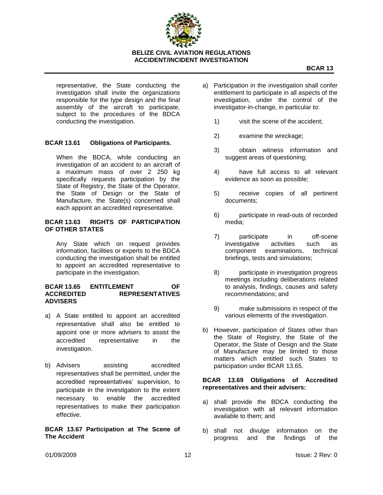

representative, the State conducting the investigation shall invite the organizations responsible for the type design and the final assembly of the aircraft to participate, subject to the procedures of the BDCA conducting the investigation.

# **BCAR 13.61 Obligations of Participants.**

When the BDCA, while conducting an investigation of an accident to an aircraft of a maximum mass of over 2 250 kg specifically requests participation by the State of Registry, the State of the Operator, the State of Design or the State of Manufacture, the State(s) concerned shall each appoint an accredited representative.

#### **BCAR 13.63 RIGHTS OF PARTICIPATION OF OTHER STATES**

Any State which on request provides information, facilities or experts to the BDCA conducting the investigation shall be entitled to appoint an accredited representative to participate in the investigation.

#### **BCAR 13.65 ENTITLEMENT OF ACCREDITED REPRESENTATIVES ADVISERS**

- a) A State entitled to appoint an accredited representative shall also be entitled to appoint one or more advisers to assist the accredited representative in the investigation.
- b) Advisers assisting accredited representatives shall be permitted, under the accredited representatives' supervision, to participate in the investigation to the extent necessary to enable the accredited representatives to make their participation effective.

#### **BCAR 13.67 Participation at The Scene of The Accident**

- a) Participation in the investigation shall confer entitlement to participate in all aspects of the investigation, under the control of the investigator-in-change, in particular to:
	- 1) visit the scene of the accident;
	- 2) examine the wreckage;
	- 3) obtain witness information and suggest areas of questioning;
	- 4) have full access to all relevant evidence as soon as possible;
	- 5) receive copies of all pertinent documents;
	- 6) participate in read-outs of recorded media;
	- 7) participate in off-scene investigative activities such as component examinations, technical briefings, tests and simulations;
	- 8) participate in investigation progress meetings including deliberations related to analysis, findings, causes and safety recommendations; and
	- 9) make submissions in respect of the various elements of the investigation.
- b) However, participation of States other than the State of Registry, the State of the Operator, the State of Design and the State of Manufacture may be limited to those matters which entitled such States to participation under BCAR 13.65.

#### **BCAR 13.69 Obligations of Accredited representatives and their advisers:**

- a) shall provide the BDCA conducting the investigation with all relevant information available to them; and
- b) shall not divulge information on the progress and the findings of the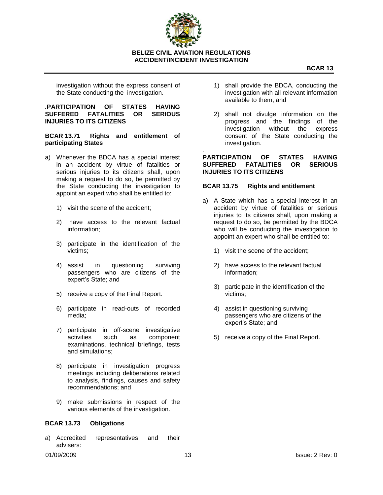

investigation without the express consent of the State conducting the investigation.

#### *.***PARTICIPATION OF STATES HAVING SUFFERED FATALITIES OR SERIOUS INJURIES TO ITS CITIZENS**

**BCAR 13.71 Rights and entitlement of participating States**

- a) Whenever the BDCA has a special interest in an accident by virtue of fatalities or serious injuries to its citizens shall, upon making a request to do so, be permitted by the State conducting the investigation to appoint an expert who shall be entitled to:
	- 1) visit the scene of the accident;
	- 2) have access to the relevant factual information;
	- 3) participate in the identification of the victims;
	- 4) assist in questioning surviving passengers who are citizens of the expert's State; and
	- 5) receive a copy of the Final Report.
	- 6) participate in read-outs of recorded media;
	- 7) participate in off-scene investigative activities such as component examinations, technical briefings, tests and simulations;
	- 8) participate in investigation progress meetings including deliberations related to analysis, findings, causes and safety recommendations; and
	- 9) make submissions in respect of the various elements of the investigation.

# **BCAR 13.73 Obligations**

a) Accredited representatives and their advisers:

- 1) shall provide the BDCA, conducting the investigation with all relevant information available to them; and
- 2) shall not divulge information on the progress and the findings of the investigation without the express consent of the State conducting the investigation.

*.* **PARTICIPATION OF STATES HAVING SUFFERED FATALITIES OR SERIOUS INJURIES TO ITS CITIZENS**

#### **BCAR 13.75 Rights and entitlement**

- a) A State which has a special interest in an accident by virtue of fatalities or serious injuries to its citizens shall, upon making a request to do so, be permitted by the BDCA who will be conducting the investigation to appoint an expert who shall be entitled to:
	- 1) visit the scene of the accident;
	- 2) have access to the relevant factual information;
	- 3) participate in the identification of the victims;
	- 4) assist in questioning surviving passengers who are citizens of the expert's State; and
	- 5) receive a copy of the Final Report.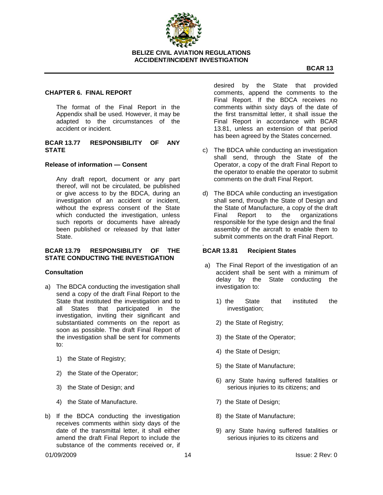

#### **CHAPTER 6. FINAL REPORT**

The format of the Final Report in the Appendix shall be used. However, it may be adapted to the circumstances of the accident or incident*.*

#### **BCAR 13.77 RESPONSIBILITY OF ANY STATE**

#### **Release of information — Consent**

Any draft report, document or any part thereof, will not be circulated, be published or give access to by the BDCA, during an investigation of an accident or incident, without the express consent of the State which conducted the investigation, unless such reports or documents have already been published or released by that latter State.

#### **BCAR 13.79 RESPONSIBILITY OF THE STATE CONDUCTING THE INVESTIGATION**

#### **Consultation**

- a) The BDCA conducting the investigation shall send a copy of the draft Final Report to the State that instituted the investigation and to all States that participated in the investigation, inviting their significant and substantiated comments on the report as soon as possible. The draft Final Report of the investigation shall be sent for comments to:
	- 1) the State of Registry;
	- 2) the State of the Operator;
	- 3) the State of Design; and
	- 4) the State of Manufacture.
- b) If the BDCA conducting the investigation receives comments within sixty days of the date of the transmittal letter, it shall either amend the draft Final Report to include the substance of the comments received or, if

desired by the State that provided comments, append the comments to the Final Report. If the BDCA receives no comments within sixty days of the date of the first transmittal letter, it shall issue the Final Report in accordance with BCAR 13.81, unless an extension of that period has been agreed by the States concerned.

- c) The BDCA while conducting an investigation shall send, through the State of the Operator, a copy of the draft Final Report to the operator to enable the operator to submit comments on the draft Final Report.
- d) The BDCA while conducting an investigation shall send, through the State of Design and the State of Manufacture, a copy of the draft Final Report to the organizations responsible for the type design and the final assembly of the aircraft to enable them to submit comments on the draft Final Report.

#### **BCAR 13.81 Recipient States**

*.*

- a) The Final Report of the investigation of an accident shall be sent with a minimum of delay by the State conducting the investigation to:
	- 1) the State that instituted the investigation;
	- 2) the State of Registry;
	- 3) the State of the Operator;
	- 4) the State of Design;
	- 5) the State of Manufacture;
	- 6) any State having suffered fatalities or serious injuries to its citizens; and
	- 7) the State of Design;
	- 8) the State of Manufacture;
	- 9) any State having suffered fatalities or serious injuries to its citizens and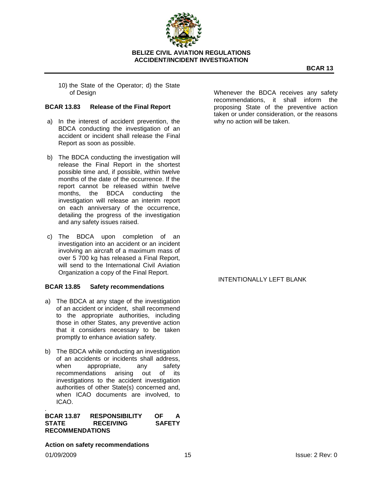

10) the State of the Operator; d) the State of Design

#### **BCAR 13.83 Release of the Final Report**

- a) In the interest of accident prevention, the BDCA conducting the investigation of an accident or incident shall release the Final Report as soon as possible.
- b) The BDCA conducting the investigation will release the Final Report in the shortest possible time and, if possible, within twelve months of the date of the occurrence. If the report cannot be released within twelve months, the BDCA conducting the investigation will release an interim report on each anniversary of the occurrence, detailing the progress of the investigation and any safety issues raised.
- c) The BDCA upon completion of an investigation into an accident or an incident involving an aircraft of a maximum mass of over 5 700 kg has released a Final Report, will send to the International Civil Aviation Organization a copy of the Final Report.

#### **BCAR 13.85 Safety recommendations**

- a) The BDCA at any stage of the investigation of an accident or incident, shall recommend to the appropriate authorities, including those in other States, any preventive action that it considers necessary to be taken promptly to enhance aviation safety.
- b) The BDCA while conducting an investigation of an accidents or incidents shall address, when appropriate, any safety recommendations arising out of its investigations to the accident investigation authorities of other State(s) concerned and, when ICAO documents are involved, to ICAO.

**BCAR 13.87 RESPONSIBILITY OF A STATE RECEIVING SAFETY RECOMMENDATIONS**

**Action on safety recommendations**

*.*

Whenever the BDCA receives any safety recommendations, it shall inform the proposing State of the preventive action taken or under consideration, or the reasons why no action will be taken.

#### INTENTIONALLY LEFT BLANK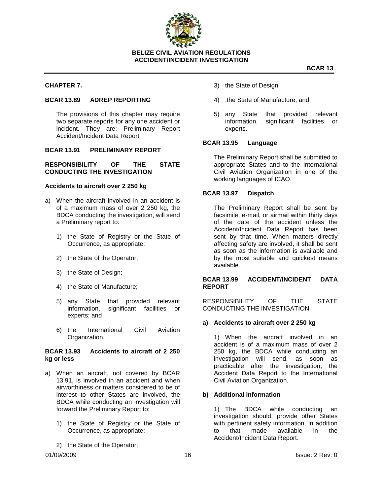

#### **CHAPTER 7.**

#### **BCAR 13.89 ADREP REPORTING**

The provisions of this chapter may require two separate reports for any one accident or incident. They are: Preliminary Report Accident/Incident Data Report

## **BCAR 13.91 PRELIMINARY REPORT**

#### **RESPONSIBILITY OF THE STATE CONDUCTING THE INVESTIGATION**

#### **Accidents to aircraft over 2 250 kg**

- a) When the aircraft involved in an accident is of a maximum mass of over 2 250 kg, the BDCA conducting the investigation, will send a Preliminary report to:
	- 1) the State of Registry or the State of Occurrence, as appropriate;
	- 2) the State of the Operator;
	- 3) the State of Design;
	- 4) the State of Manufacture;
	- 5) any State that provided relevant information, significant facilities or experts; and
	- 6) the International Civil Aviation Organization.

#### **BCAR 13.93 Accidents to aircraft of 2 250 kg or less**

- a) When an aircraft, not covered by BCAR 13.91, is involved in an accident and when airworthiness or matters considered to be of interest to other States are involved, the BDCA while conducting an investigation will forward the Preliminary Report to:
	- 1) the State of Registry or the State of Occurrence, as appropriate;
	- 2) the State of the Operator;
- 3) the State of Design
- 4) ;the State of Manufacture; and
- 5) any State that provided relevant information, significant facilities or experts.

#### **BCAR 13.95 Language**

The Preliminary Report shall be submitted to appropriate States and to the International Civil Aviation Organization in one of the working languages of ICAO.

#### **BCAR 13.97 Dispatch**

The Preliminary Report shall be sent by facsimile, e-mail, or airmail within thirty days of the date of the accident unless the Accident/Incident Data Report has been sent by that time. When matters directly affecting safety are involved, it shall be sent as soon as the information is available and by the most suitable and quickest means available.

#### **BCAR 13.99 ACCIDENT/INCIDENT DATA REPORT**

RESPONSIBILITY OF THE STATE CONDUCTING THE INVESTIGATION

#### **a) Accidents to aircraft over 2 250 kg**

1) When the aircraft involved in an accident is of a maximum mass of over 2 250 kg, the BDCA while conducting an investigation will send, as soon as practicable after the investigation, the Accident Data Report to the International Civil Aviation Organization.

#### **b) Additional information**

1) The BDCA while conducting an investigation should, provide other States with pertinent safety information, in addition to that made available in the Accident/Incident Data Report.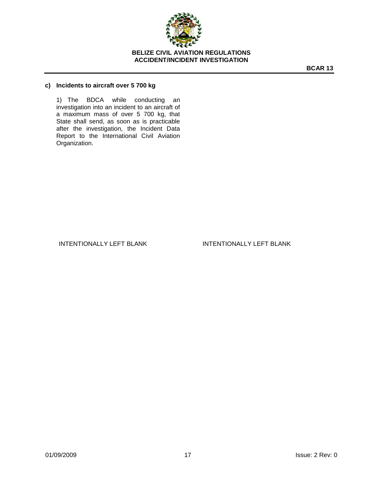

## **c) Incidents to aircraft over 5 700 kg**

1) The BDCA while conducting an investigation into an incident to an aircraft of a maximum mass of over 5 700 kg, that State shall send, as soon as is practicable after the investigation, the Incident Data Report to the International Civil Aviation Organization.

INTENTIONALLY LEFT BLANK INTENTIONALLY LEFT BLANK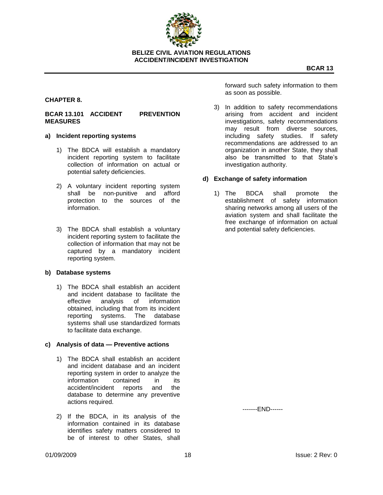

# **CHAPTER 8.**

#### **BCAR 13.101 ACCIDENT PREVENTION MEASURES**

#### **a) Incident reporting systems**

- 1) The BDCA will establish a mandatory incident reporting system to facilitate collection of information on actual or potential safety deficiencies.
- 2) A voluntary incident reporting system shall be non-punitive and afford protection to the sources of the information.
- 3) The BDCA shall establish a voluntary incident reporting system to facilitate the collection of information that may not be captured by a mandatory incident reporting system.

#### **b) Database systems**

1) The BDCA shall establish an accident and incident database to facilitate the effective analysis of information obtained, including that from its incident reporting systems. The database systems shall use standardized formats to facilitate data exchange.

#### **c) Analysis of data — Preventive actions**

- 1) The BDCA shall establish an accident and incident database and an incident reporting system in order to analyze the information contained in its accident/incident reports and the database to determine any preventive actions required.
- 2) If the BDCA, in its analysis of the information contained in its database identifies safety matters considered to be of interest to other States, shall

forward such safety information to them as soon as possible.

3) In addition to safety recommendations arising from accident and incident investigations, safety recommendations may result from diverse sources, including safety studies. If safety recommendations are addressed to an organization in another State, they shall also be transmitted to that State's investigation authority.

#### **d) Exchange of safety information**

1) The BDCA shall promote the establishment of safety information sharing networks among all users of the aviation system and shall facilitate the free exchange of information on actual and potential safety deficiencies.

-------END------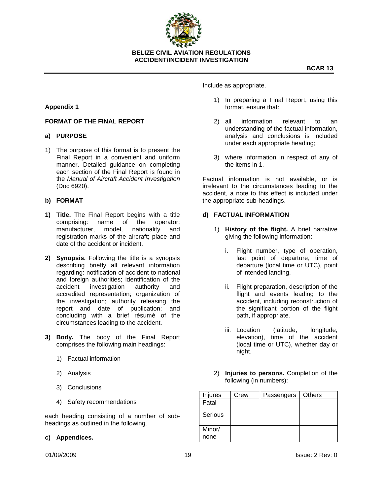

**ACCIDENT/INCIDENT INVESTIGATION**

# **Appendix 1**

## **FORMAT OF THE FINAL REPORT**

## **a) PURPOSE**

1) The purpose of this format is to present the Final Report in a convenient and uniform manner. Detailed guidance on completing each section of the Final Report is found in the *Manual of Aircraft Accident Investigation*  (Doc 6920).

#### **b) FORMAT**

- **1) Title.** The Final Report begins with a title comprising: name of the operator; manufacturer, model, nationality and registration marks of the aircraft; place and date of the accident or incident.
- **2) Synopsis.** Following the title is a synopsis describing briefly all relevant information regarding: notification of accident to national and foreign authorities; identification of the accident investigation authority and accredited representation; organization of the investigation; authority releasing the report and date of publication; and concluding with a brief résumé of the circumstances leading to the accident.
- **3) Body.** The body of the Final Report comprises the following main headings:
	- 1) Factual information
	- 2) Analysis
	- 3) Conclusions
	- 4) Safety recommendations

each heading consisting of a number of subheadings as outlined in the following.

## **c) Appendices.**

Include as appropriate.

- 1) In preparing a Final Report, using this format, ensure that:
- 2) all information relevant to an understanding of the factual information, analysis and conclusions is included under each appropriate heading;
- 3) where information in respect of any of the items in 1.—

Factual information is not available, or is irrelevant to the circumstances leading to the accident, a note to this effect is included under the appropriate sub-headings.

## **d) FACTUAL INFORMATION**

- 1) **History of the flight.** A brief narrative giving the following information:
	- i. Flight number, type of operation, last point of departure, time of departure (local time or UTC), point of intended landing.
	- ii. Flight preparation, description of the flight and events leading to the accident, including reconstruction of the significant portion of the flight path, if appropriate.
	- iii. Location (latitude, longitude, elevation), time of the accident (local time or UTC), whether day or night.
- 2) **Injuries to persons.** Completion of the following (in numbers):

| Injures | Crew | Passengers | Others |
|---------|------|------------|--------|
| Fatal   |      |            |        |
| Serious |      |            |        |
| Minor/  |      |            |        |
| none    |      |            |        |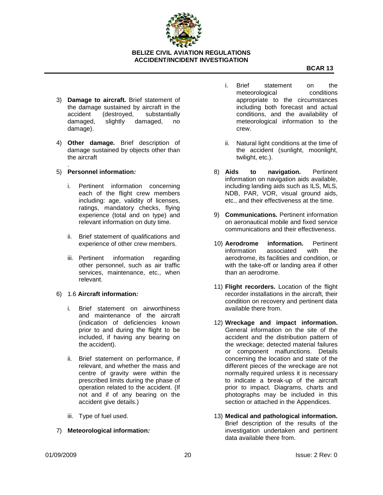

- 3) **Damage to aircraft***.* Brief statement of the damage sustained by aircraft in the accident (destroyed, substantially damaged, slightly damaged, no damage).
- 4) **Other damage***.* Brief description of damage sustained by objects other than the aircraft
- . 5) **Personnel information***:*
	- i. Pertinent information concerning each of the flight crew members including: age, validity of licenses, ratings, mandatory checks, flying experience (total and on type) and relevant information on duty time.
	- ii. Brief statement of qualifications and experience of other crew members.
	- iii. Pertinent information regarding other personnel, such as air traffic services, maintenance, etc., when relevant.
- 6) 1.6 **Aircraft information***:*
	- i. Brief statement on airworthiness and maintenance of the aircraft (indication of deficiencies known prior to and during the flight to be included, if having any bearing on the accident).
	- ii. Brief statement on performance, if relevant, and whether the mass and centre of gravity were within the prescribed limits during the phase of operation related to the accident. (If not and if of any bearing on the accident give details.)
	- iii. Type of fuel used.
- 7) **Meteorological information***:*
- i. Brief statement on the meteorological conditions appropriate to the circumstances including both forecast and actual conditions, and the availability of meteorological information to the crew.
- ii. Natural light conditions at the time of the accident (sunlight, moonlight, twilight, etc.).
- 8) **Aids to navigation***.* Pertinent information on navigation aids available, including landing aids such as ILS, MLS, NDB, PAR, VOR, visual ground aids, etc., and their effectiveness at the time.
- 9) **Communications***.* Pertinent information on aeronautical mobile and fixed service communications and their effectiveness.
- 10) **Aerodrome information***.* Pertinent information associated with the aerodrome, its facilities and condition, or with the take-off or landing area if other than an aerodrome.
- 11) **Flight recorders.** Location of the flight recorder installations in the aircraft, their condition on recovery and pertinent data available there from.
- 12) **Wreckage and impact information.**  General information on the site of the accident and the distribution pattern of the wreckage; detected material failures or component malfunctions. Details concerning the location and state of the different pieces of the wreckage are not normally required unless it is necessary to indicate a break-up of the aircraft prior to impact. Diagrams, charts and photographs may be included in this section or attached in the Appendices.
- 13) **Medical and pathological information.**  Brief description of the results of the investigation undertaken and pertinent data available there from.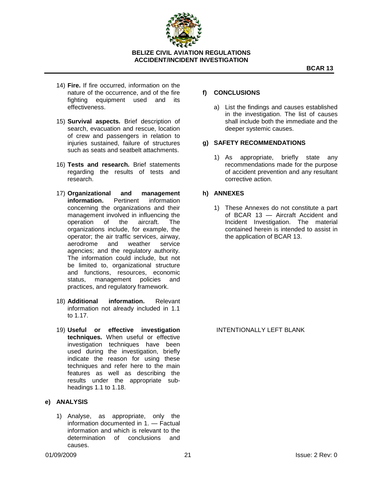

**BCAR 13**

- 14) **Fire.** If fire occurred, information on the nature of the occurrence, and of the fire fighting equipment used and its effectiveness.
- 15) **Survival aspects***.* Brief description of search, evacuation and rescue, location of crew and passengers in relation to injuries sustained, failure of structures such as seats and seatbelt attachments.
- 16) **Tests and research***.* Brief statements regarding the results of tests and research.
- 17) **Organizational and management information.** Pertinent information concerning the organizations and their management involved in influencing the operation of the aircraft. The organizations include, for example, the operator; the air traffic services, airway, aerodrome and weather service agencies; and the regulatory authority. The information could include, but not be limited to, organizational structure and functions, resources, economic status, management policies and practices, and regulatory framework.
- 18) **Additional information***.* Relevant information not already included in 1.1 to 1.17.
- 19) **Useful or effective investigation techniques.** When useful or effective investigation techniques have been used during the investigation, briefly indicate the reason for using these techniques and refer here to the main features as well as describing the results under the appropriate subheadings 1.1 to 1.18.

# **e) ANALYSIS**

1) Analyse, as appropriate, only the information documented in 1. — Factual information and which is relevant to the determination of conclusions and causes.

## **f) CONCLUSIONS**

a) List the findings and causes established in the investigation. The list of causes shall include both the immediate and the deeper systemic causes.

## **g) SAFETY RECOMMENDATIONS**

1) As appropriate, briefly state any recommendations made for the purpose of accident prevention and any resultant corrective action.

## **h) ANNEXES**

1) These Annexes do not constitute a part of BCAR 13 — Aircraft Accident and Incident Investigation. The material contained herein is intended to assist in the application of BCAR 13.

INTENTIONALLY LEFT BLANK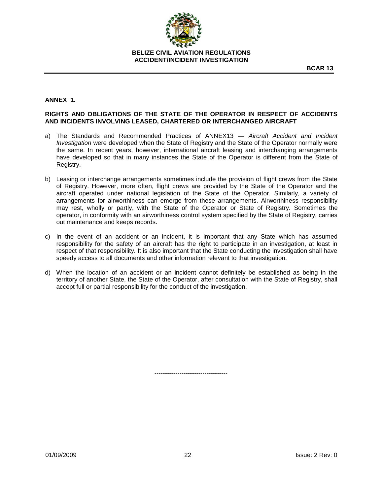

**BCAR 13**

# **ANNEX 1.**

# **RIGHTS AND OBLIGATIONS OF THE STATE OF THE OPERATOR IN RESPECT OF ACCIDENTS AND INCIDENTS INVOLVING LEASED, CHARTERED OR INTERCHANGED AIRCRAFT**

- a) The Standards and Recommended Practices of ANNEX13 *Aircraft Accident and Incident Investigation* were developed when the State of Registry and the State of the Operator normally were the same. In recent years, however, international aircraft leasing and interchanging arrangements have developed so that in many instances the State of the Operator is different from the State of Registry.
- b) Leasing or interchange arrangements sometimes include the provision of flight crews from the State of Registry. However, more often, flight crews are provided by the State of the Operator and the aircraft operated under national legislation of the State of the Operator. Similarly, a variety of arrangements for airworthiness can emerge from these arrangements. Airworthiness responsibility may rest, wholly or partly, with the State of the Operator or State of Registry. Sometimes the operator, in conformity with an airworthiness control system specified by the State of Registry, carries out maintenance and keeps records.
- c) In the event of an accident or an incident, it is important that any State which has assumed responsibility for the safety of an aircraft has the right to participate in an investigation, at least in respect of that responsibility. It is also important that the State conducting the investigation shall have speedy access to all documents and other information relevant to that investigation.
- d) When the location of an accident or an incident cannot definitely be established as being in the territory of another State, the State of the Operator, after consultation with the State of Registry, shall accept full or partial responsibility for the conduct of the investigation.

-----------------------------------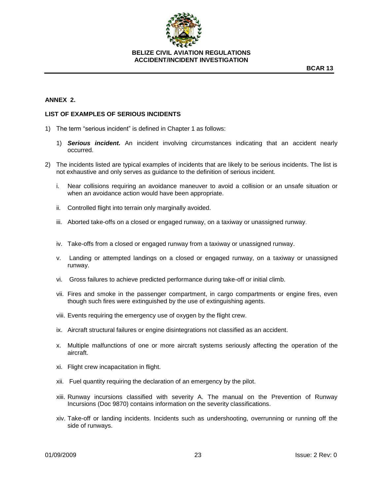

# **ANNEX 2.**

#### **LIST OF EXAMPLES OF SERIOUS INCIDENTS**

- 1) The term "serious incident" is defined in Chapter 1 as follows:
	- 1) *Serious incident.* An incident involving circumstances indicating that an accident nearly occurred.
- 2) The incidents listed are typical examples of incidents that are likely to be serious incidents. The list is not exhaustive and only serves as guidance to the definition of serious incident.
	- i. Near collisions requiring an avoidance maneuver to avoid a collision or an unsafe situation or when an avoidance action would have been appropriate.
	- ii. Controlled flight into terrain only marginally avoided.
	- iii. Aborted take-offs on a closed or engaged runway, on a taxiway or unassigned runway.
	- iv. Take-offs from a closed or engaged runway from a taxiway or unassigned runway.
	- v. Landing or attempted landings on a closed or engaged runway, on a taxiway or unassigned runway.
	- vi. Gross failures to achieve predicted performance during take-off or initial climb.
	- vii. Fires and smoke in the passenger compartment, in cargo compartments or engine fires, even though such fires were extinguished by the use of extinguishing agents.
	- viii. Events requiring the emergency use of oxygen by the flight crew.
	- ix. Aircraft structural failures or engine disintegrations not classified as an accident.
	- x. Multiple malfunctions of one or more aircraft systems seriously affecting the operation of the aircraft.
	- xi. Flight crew incapacitation in flight.
	- xii. Fuel quantity requiring the declaration of an emergency by the pilot.
	- xiii. Runway incursions classified with severity A. The manual on the Prevention of Runway Incursions (Doc 9870) contains information on the severity classifications.
	- xiv. Take-off or landing incidents. Incidents such as undershooting, overrunning or running off the side of runways.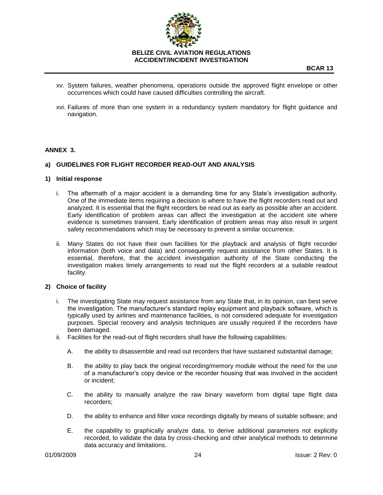

- xv. System failures, weather phenomena, operations outside the approved flight envelope or other occurrences which could have caused difficulties controlling the aircraft.
- xvi. Failures of more than one system in a redundancy system mandatory for flight guidance and navigation.

## **ANNEX 3.**

## **a) GUIDELINES FOR FLIGHT RECORDER READ-OUT AND ANALYSIS**

#### **1) Initial response**

- i. The aftermath of a major accident is a demanding time for any State's investigation authority. One of the immediate items requiring a decision is where to have the flight recorders read out and analyzed. It is essential that the flight recorders be read out as early as possible after an accident. Early identification of problem areas can affect the investigation at the accident site where evidence is sometimes transient. Early identification of problem areas may also result in urgent safety recommendations which may be necessary to prevent a similar occurrence.
- ii. Many States do not have their own facilities for the playback and analysis of flight recorder information (both voice and data) and consequently request assistance from other States. It is essential, therefore, that the accident investigation authority of the State conducting the investigation makes timely arrangements to read out the flight recorders at a suitable readout facility.

#### **2) Choice of facility**

- i. The investigating State may request assistance from any State that, in its opinion, can best serve the investigation. The manufacturer's standard replay equipment and playback software, which is typically used by airlines and maintenance facilities, is not considered adequate for investigation purposes. Special recovery and analysis techniques are usually required if the recorders have been damaged.
- ii. Facilities for the read-out of flight recorders shall have the following capabilities:
	- A. the ability to disassemble and read out recorders that have sustained substantial damage;
	- B. the ability to play back the original recording/memory module without the need for the use of a manufacturer's copy device or the recorder housing that was involved in the accident or incident;
	- C. the ability to manually analyze the raw binary waveform from digital tape flight data recorders;
	- D. the ability to enhance and filter voice recordings digitally by means of suitable software; and
	- E. the capability to graphically analyze data, to derive additional parameters not explicitly recorded, to validate the data by cross-checking and other analytical methods to determine data accuracy and limitations.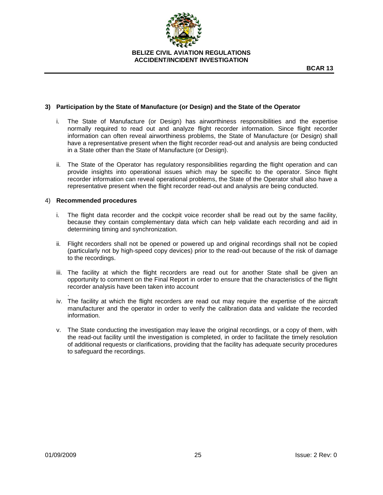

## **3) Participation by the State of Manufacture (or Design) and the State of the Operator**

- i. The State of Manufacture (or Design) has airworthiness responsibilities and the expertise normally required to read out and analyze flight recorder information. Since flight recorder information can often reveal airworthiness problems, the State of Manufacture (or Design) shall have a representative present when the flight recorder read-out and analysis are being conducted in a State other than the State of Manufacture (or Design).
- ii. The State of the Operator has regulatory responsibilities regarding the flight operation and can provide insights into operational issues which may be specific to the operator. Since flight recorder information can reveal operational problems, the State of the Operator shall also have a representative present when the flight recorder read-out and analysis are being conducted.

#### 4) **Recommended procedures**

- i. The flight data recorder and the cockpit voice recorder shall be read out by the same facility, because they contain complementary data which can help validate each recording and aid in determining timing and synchronization.
- ii. Flight recorders shall not be opened or powered up and original recordings shall not be copied (particularly not by high-speed copy devices) prior to the read-out because of the risk of damage to the recordings.
- iii. The facility at which the flight recorders are read out for another State shall be given an opportunity to comment on the Final Report in order to ensure that the characteristics of the flight recorder analysis have been taken into account
- . iv. The facility at which the flight recorders are read out may require the expertise of the aircraft manufacturer and the operator in order to verify the calibration data and validate the recorded information.
- v. The State conducting the investigation may leave the original recordings, or a copy of them, with the read-out facility until the investigation is completed, in order to facilitate the timely resolution of additional requests or clarifications, providing that the facility has adequate security procedures to safeguard the recordings.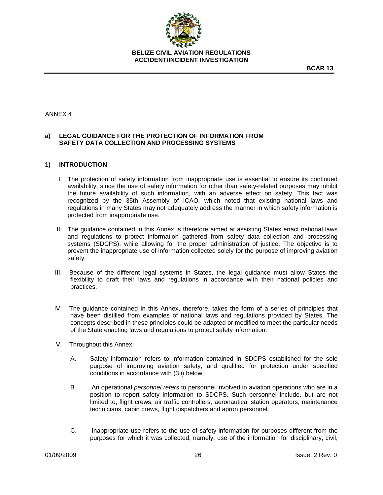

**BCAR 13**

## ANNEX 4

# **a) LEGAL GUIDANCE FOR THE PROTECTION OF INFORMATION FROM SAFETY DATA COLLECTION AND PROCESSING SYSTEMS**

#### **1) INTRODUCTION**

- I. The protection of safety information from inappropriate use is essential to ensure its continued availability, since the use of safety information for other than safety-related purposes may inhibit the future availability of such information, with an adverse effect on safety. This fact was recognized by the 35th Assembly of ICAO, which noted that existing national laws and regulations in many States may not adequately address the manner in which safety information is protected from inappropriate use.
- II. The guidance contained in this Annex is therefore aimed at assisting States enact national laws and regulations to protect information gathered from safety data collection and processing systems (SDCPS), while allowing for the proper administration of justice. The objective is to prevent the inappropriate use of information collected solely for the purpose of improving aviation safety.
- III. Because of the different legal systems in States, the legal guidance must allow States the flexibility to draft their laws and regulations in accordance with their national policies and practices.
- IV. The guidance contained in this Annex, therefore, takes the form of a series of principles that have been distilled from examples of national laws and regulations provided by States. The concepts described in these principles could be adapted or modified to meet the particular needs of the State enacting laws and regulations to protect safety information.
- V. Throughout this Annex:
	- A. Safety information refers to information contained in SDCPS established for the sole purpose of improving aviation safety, and qualified for protection under specified conditions in accordance with (3.i) below;
	- B. An operational *personnel refers* to personnel involved in aviation operations who are in a position to report safety information to SDCPS. Such personnel include, but are not limited to, flight crews, air traffic controllers, aeronautical station operators, maintenance technicians, cabin crews, flight dispatchers and apron personnel:
	- C. Inappropriate use refers to the use of safety information for purposes different from the purposes for which it was collected, namely, use of the information for disciplinary, civil,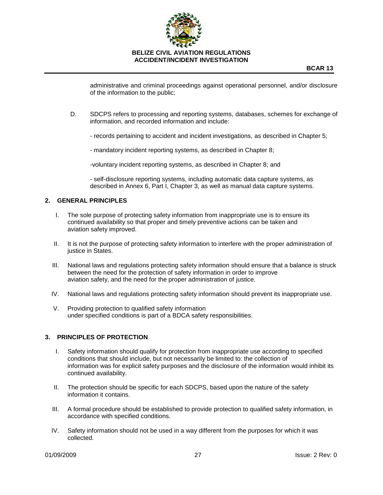

administrative and criminal proceedings against operational personnel, and/or disclosure of the information to the public;

- D. SDCPS refers to processing and reporting systems, databases, schemes for exchange of information, and recorded information and include:
	- records pertaining to accident and incident investigations, as described in Chapter 5;

- mandatory incident reporting systems, as described in Chapter 8;

-voluntary incident reporting systems, as described in Chapter 8; and

- self-disclosure reporting systems, including automatic data capture systems, as described in Annex 6, Part I, Chapter 3, as well as manual data capture systems.

## **2. GENERAL PRINCIPLES**

- I. The sole purpose of protecting safety information from inappropriate use is to ensure its continued availability so that proper and timely preventive actions can be taken and aviation safety improved.
- II. It is not the purpose of protecting safety information to interfere with the proper administration of justice in States.
- III. National laws and regulations protecting safety information should ensure that a balance is struck between the need for the protection of safety information in order to improve aviation safety, and the need for the proper administration of justice.
- IV. National laws and regulations protecting safety information should prevent its inappropriate use.
- V. Providing protection to qualified safety information under specified conditions is part of a BDCA safety responsibilities.

#### **3. PRINCIPLES OF PROTECTION**

- I. Safety information should qualify for protection from inappropriate use according to specified conditions that should include, but not necessarily be limited to: the collection of information was for explicit safety purposes and the disclosure of the information would inhibit its continued availability.
- II. The protection should be specific for each SDCPS, based upon the nature of the safety information it contains.
- III. A formal procedure should be established to provide protection to qualified safety information, in accordance with specified conditions.
- IV. Safety information should not be used in a way different from the purposes for which it was collected.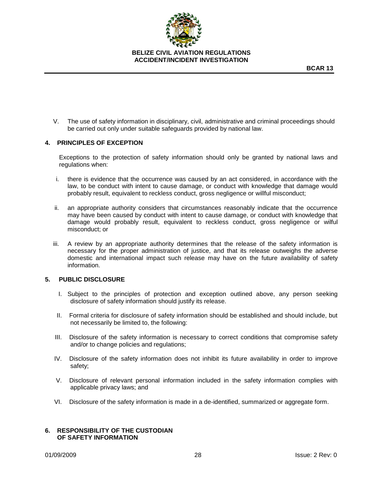

V. The use of safety information in disciplinary, civil, administrative and criminal proceedings should be carried out only under suitable safeguards provided by national law.

#### **4. PRINCIPLES OF EXCEPTION**

Exceptions to the protection of safety information should only be granted by national laws and regulations when:

- i. there is evidence that the occurrence was caused by an act considered, in accordance with the law, to be conduct with intent to cause damage, or conduct with knowledge that damage would probably result, equivalent to reckless conduct, gross negligence or willful misconduct;
- ii. an appropriate authority considers that circumstances reasonably indicate that the occurrence may have been caused by conduct with intent to cause damage, or conduct with knowledge that damage would probably result, equivalent to reckless conduct, gross negligence or wilful misconduct; or
- iii. A review by an appropriate authority determines that the release of the safety information is necessary for the proper administration of justice, and that its release outweighs the adverse domestic and international impact such release may have on the future availability of safety information.

#### **5. PUBLIC DISCLOSURE**

- I. Subject to the principles of protection and exception outlined above, any person seeking disclosure of safety information should justify its release.
- II. Formal criteria for disclosure of safety information should be established and should include, but not necessarily be limited to, the following:
- III. Disclosure of the safety information is necessary to correct conditions that compromise safety and/or to change policies and regulations;
- IV. Disclosure of the safety information does not inhibit its future availability in order to improve safety;
- V. Disclosure of relevant personal information included in the safety information complies with applicable privacy laws; and
- VI. Disclosure of the safety information is made in a de-identified, summarized or aggregate form.

#### **6. RESPONSIBILITY OF THE CUSTODIAN OF SAFETY INFORMATION**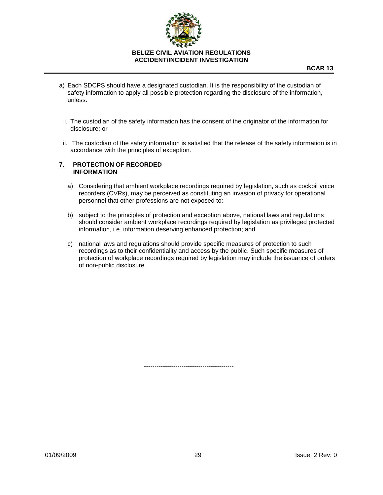

- a) Each SDCPS should have a designated custodian. It is the responsibility of the custodian of safety information to apply all possible protection regarding the disclosure of the information, unless:
	- i. The custodian of the safety information has the consent of the originator of the information for disclosure; or
- ii. The custodian of the safety information is satisfied that the release of the safety information is in accordance with the principles of exception.

#### **7. PROTECTION OF RECORDED INFORMATION**

-------------------------------------------

- a) Considering that ambient workplace recordings required by legislation, such as cockpit voice recorders (CVRs), may be perceived as constituting an invasion of privacy for operational personnel that other professions are not exposed to:
- b) subject to the principles of protection and exception above, national laws and regulations should consider ambient workplace recordings required by legislation as privileged protected information, i.e. information deserving enhanced protection; and
- c) national laws and regulations should provide specific measures of protection to such recordings as to their confidentiality and access by the public. Such specific measures of protection of workplace recordings required by legislation may include the issuance of orders of non-public disclosure.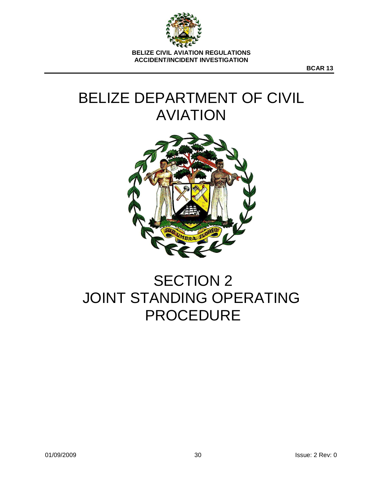

**BCAR 13**

# BELIZE DEPARTMENT OF CIVIL AVIATION



# SECTION 2 JOINT STANDING OPERATING PROCEDURE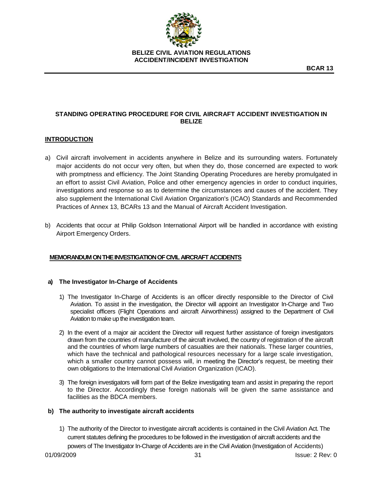

# **STANDING OPERATING PROCEDURE FOR CIVIL AIRCRAFT ACCIDENT INVESTIGATION IN BELIZE**

# **INTRODUCTION**

- a) Civil aircraft involvement in accidents anywhere in Belize and its surrounding waters. Fortunately major accidents do not occur very often, but when they do, those concerned are expected to work with promptness and efficiency. The Joint Standing Operating Procedures are hereby promulgated in an effort to assist Civil Aviation, Police and other emergency agencies in order to conduct inquiries, investigations and response so as to determine the circumstances and causes of the accident. They also supplement the International Civil Aviation Organization's (ICAO) Standards and Recommended Practices of Annex 13, BCARs 13 and the Manual of Aircraft Accident Investigation.
- b) Accidents that occur at Philip Goldson International Airport will be handled in accordance with existing Airport Emergency Orders.

# **MEMORANDUM ON THE INVESTIGATION OF CIVIL AIRCRAFT ACCIDENTS**

#### **a) The Investigator In-Charge of Accidents**

- 1) The Investigator In-Charge of Accidents is an officer directly responsible to the Director of Civil Aviation. To assist in the investigation, the Director will appoint an Investigator In-Charge and Two specialist officers (Flight Operations and aircraft Airworthiness) assigned to the Department of Civil Aviation to make up the investigation team.
- 2) In the event of a major air accident the Director will request further assistance of foreign investigators drawn from the countries of manufacture of the aircraft involved, the country of registration of the aircraft and the countries of whom large numbers of casualties are their nationals. These larger countries, which have the technical and pathological resources necessary for a large scale investigation, which a smaller country cannot possess will, in meeting the Director's request, be meeting their own obligations to the International Civil Aviation Organization (ICAO).
- 3) The foreign investigators will form part of the Belize investigating team and assist in preparing the report to the Director. Accordingly these foreign nationals will be given the same assistance and facilities as the BDCA members.

#### **b) The authority to investigate aircraft accidents**

1) The authority of the Director to investigate aircraft accidents is contained in the Civil Aviation Act. The current statutes defining the procedures to be followed in the investigation of aircraft accidents and the powers of The Investigator In-Charge of Accidents are in the Civil Aviation (Investigation of Accidents)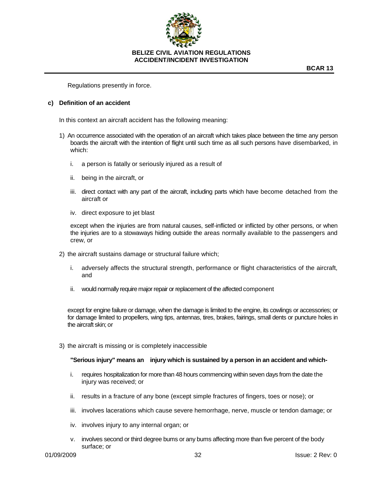

Regulations presently in force.

#### **c) Definition of an accident**

In this context an aircraft accident has the following meaning:

- 1) An occurrence associated with the operation of an aircraft which takes place between the time any person boards the aircraft with the intention of flight until such time as all such persons have disembarked, in which:
	- i. a person is fatally or seriously injured as a result of
	- ii. being in the aircraft, or
	- iii. direct contact with any part of the aircraft, including parts which have become detached from the aircraft or
	- iv. direct exposure to jet blast

except when the injuries are from natural causes, self-inflicted or inflicted by other persons, or when the injuries are to a stowaways hiding outside the areas normally available to the passengers and crew, or

- 2) the aircraft sustains damage or structural failure which;
	- i. adversely affects the structural strength, performance or flight characteristics of the aircraft, and
	- ii. would normally require major repair or replacement of the affected component

except for engine failure or damage, when the damage is limited to the engine, its cowlings or accessories; or for damage limited to propellers, wing tips, antennas, tires, brakes, fairings, small dents or puncture holes in the aircraft skin; or

3) the aircraft is missing or is completely inaccessible

**"Serious injury" means an injury which is sustained by a person in an accident and which-**

- i. requires hospitalization for more than 48 hours commencing within seven days from the date the injury was received; or
- ii. results in a fracture of any bone (except simple fractures of fingers, toes or nose); or
- iii. involves lacerations which cause severe hemorrhage, nerve, muscle or tendon damage; or
- iv. involves injury to any internal organ; or
- v. involves second or third degree bums or any bums affecting more than five percent of the body surface; or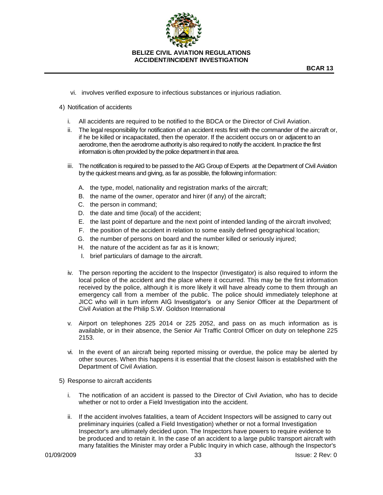

- vi. involves verified exposure to infectious substances or injurious radiation.
- 4) Notification of accidents
	- i. All accidents are required to be notified to the BDCA or the Director of Civil Aviation.
	- ii. The legal responsibility for notification of an accident rests first with the commander of the aircraft or, if he be killed or incapacitated, then the operator. If the accident occurs on or adjacent to an aerodrome, then the aerodrome authority is also required to notify the accident. In practice the first information is often provided by the police department in that area.
	- iii. The notification is required to be passed to the AIG Group of Experts at the Department of Civil Aviation by the quickest means and giving, as far as possible, the following information:
		- A. the type, model, nationality and registration marks of the aircraft;
		- B. the name of the owner, operator and hirer (if any) of the aircraft;
		- C. the person in command;
		- D. the date and time (local) of the accident;
		- E. the last point of departure and the next point of intended landing of the aircraft involved;
		- F. the position of the accident in relation to some easily defined geographical location;
		- G. the number of persons on board and the number killed or seriously injured;
		- H. the nature of the accident as far as it is known;
		- I. brief particulars of damage to the aircraft.
	- iv. The person reporting the accident to the Inspector (Investigator) is also required to inform the local police of the accident and the place where it occurred. This may be the first information received by the police, although it is more likely it will have already come to them through an emergency call from a member of the public. The police should immediately telephone at JICC who will in turn inform AIG Investigator's or any Senior Officer at the Department of Civil Aviation at the Philip S.W. Goldson International
	- v. Airport on telephones 225 2014 or 225 2052, and pass on as much information as is available, or in their absence, the Senior Air Traffic Control Officer on duty on telephone 225 2153.
	- vi. In the event of an aircraft being reported missing or overdue, the police may be alerted by other sources. When this happens it is essential that the closest liaison is established with the Department of Civil Aviation.
- 5) Response to aircraft accidents
	- i. The notification of an accident is passed to the Director of Civil Aviation, who has to decide whether or not to order a Field Investigation into the accident.
	- ii. If the accident involves fatalities, a team of Accident Inspectors will be assigned to carry out preliminary inquiries (called a Field Investigation) whether or not a formal Investigation Inspector's are ultimately decided upon. The Inspectors have powers to require evidence to be produced and to retain it. In the case of an accident to a large public transport aircraft with many fatalities the Minister may order a Public Inquiry in which case, although the Inspector's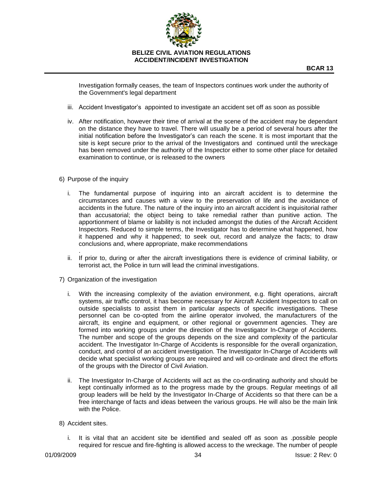

Investigation formally ceases, the team of Inspectors continues work under the authority of the Government's legal department

- iii. Accident Investigator's appointed to investigate an accident set off as soon as possible
- iv. After notification, however their time of arrival at the scene of the accident may be dependant on the distance they have to travel. There will usually be a period of several hours after the initial notification before the Investigator's can reach the scene. It is most important that the site is kept secure prior to the arrival of the Investigators and continued until the wreckage has been removed under the authority of the Inspector either to some other place for detailed examination to continue, or is released to the owners
- 6) Purpose of the inquiry
	- i. The fundamental purpose of inquiring into an aircraft accident is to determine the circumstances and causes with a view to the preservation of life and the avoidance of accidents in the future. The nature of the inquiry into an aircraft accident is inquisitorial rather than accusatorial; the object being to take remedial rather than punitive action. The apportionment of blame or liability is not included amongst the duties of the Aircraft Accident Inspectors. Reduced to simple terms, the Investigator has to determine what happened, how it happened and why it happened; to seek out, record and analyze the facts; to draw conclusions and, where appropriate, make recommendations
	- . ii. If prior to, during or after the aircraft investigations there is evidence of criminal liability, or terrorist act, the Police in turn will lead the criminal investigations.
- 7) Organization of the investigation
	- i. With the increasing complexity of the aviation environment, e.g. flight operations, aircraft systems, air traffic control, it has become necessary for Aircraft Accident Inspectors to call on outside specialists to assist them in particular aspects of specific investigations. These personnel can be co-opted from the airline operator involved, the manufacturers of the aircraft, its engine and equipment, or other regional or government agencies. They are formed into working groups under the direction of the Investigator In-Charge of Accidents. The number and scope of the groups depends on the size and complexity of the particular accident. The Investigator In-Charge of Accidents is responsible for the overall organization, conduct, and control of an accident investigation. The Investigator In-Charge of Accidents will decide what specialist working groups are required and will co-ordinate and direct the efforts of the groups with the Director of Civil Aviation.
	- ii. The Investigator In-Charge of Accidents will act as the co-ordinating authority and should be kept continually informed as to the progress made by the groups. Regular meetings of all group leaders will be held by the Investigator In-Charge of Accidents so that there can be a free interchange of facts and ideas between the various groups. He will also be the main link with the Police.
- 8) Accident sites.
	- i. It is vital that an accident site be identified and sealed off as soon as .possible people required for rescue and fire-fighting is allowed access to the wreckage. The number of people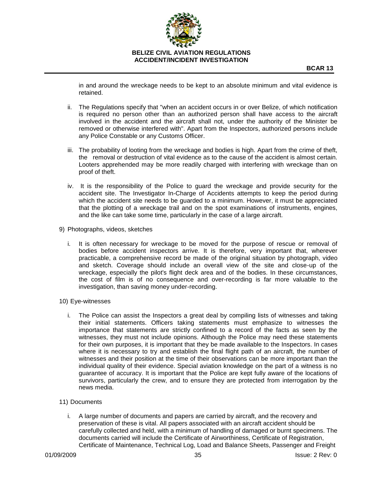

**BCAR 13**

in and around the wreckage needs to be kept to an absolute minimum and vital evidence is retained.

- ii. The Regulations specify that "when an accident occurs in or over Belize, of which notification is required no person other than an authorized person shall have access to the aircraft involved in the accident and the aircraft shall not, under the authority of the Minister be removed or otherwise interfered with". Apart from the Inspectors, authorized persons include any Police Constable or any Customs Officer.
- iii. The probability of looting from the wreckage and bodies is high. Apart from the crime of theft, the removal or destruction of vital evidence as to the cause of the accident is almost certain. Looters apprehended may be more readily charged with interfering with wreckage than on proof of theft.
- iv. It is the responsibility of the Police to guard the wreckage and provide security for the accident site. The Investigator In-Charge of Accidents attempts to keep the period during which the accident site needs to be guarded to a minimum. However, it must be appreciated that the plotting of a wreckage trail and on the spot examinations of instruments, engines, and the like can take some time, particularly in the case of a large aircraft.
- 9) Photographs, videos, sketches
	- i. It is often necessary for wreckage to be moved for the purpose of rescue or removal of bodies before accident inspectors arrive. It is therefore, very important that, wherever practicable, a comprehensive record be made of the original situation by photograph, video and sketch. Coverage should include an overall view of the site and close-up of the wreckage, especially the pilot's flight deck area and of the bodies. In these circumstances, the cost of film is of no consequence and over-recording is far more valuable to the investigation, than saving money under-recording.
- 10) Eye-witnesses
	- i. The Police can assist the Inspectors a great deal by compiling lists of witnesses and taking their initial statements. Officers taking statements must emphasize to witnesses the importance that statements are strictly confined to a record of the facts as seen by the witnesses, they must not include opinions. Although the Police may need these statements for their own purposes, it is important that they be made available to the Inspectors. In cases where it is necessary to try and establish the final flight path of an aircraft, the number of witnesses and their position at the time of their observations can be more important than the individual quality of their evidence. Special aviation knowledge on the part of a witness is no guarantee of accuracy. It is important that the Police are kept fully aware of the locations of survivors, particularly the crew, and to ensure they are protected from interrogation by the news media.
- 11) Documents
	- i. A large number of documents and papers are carried by aircraft, and the recovery and preservation of these is vital. All papers associated with an aircraft accident should be carefully collected and held, with a minimum of handling of damaged or burnt specimens. The documents carried will include the Certificate of Airworthiness, Certificate of Registration, Certificate of Maintenance, Technical Log, Load and Balance Sheets, Passenger and Freight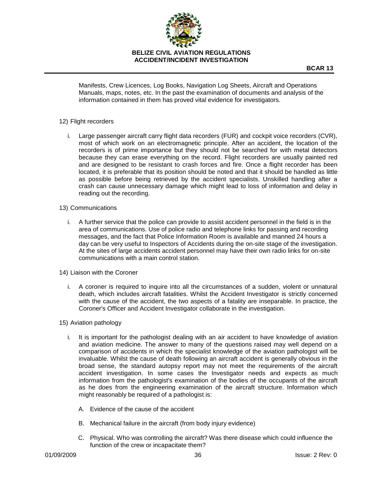

Manifests, Crew Licences, Log Books, Navigation Log Sheets, Aircraft and Operations Manuals, maps, notes, etc. In the past the examination of documents and analysis of the information contained in them has proved vital evidence for investigators.

## 12) Flight recorders

i. Large passenger aircraft carry flight data recorders (FUR) and cockpit voice recorders (CVR), most of which work on an electromagnetic principle. After an accident, the location of the recorders is of prime importance but they should not be searched for with metal detectors because they can erase everything on the record. Flight recorders are usually painted red and are designed to be resistant to crash forces and fire. Once a flight recorder has been located, it is preferable that its position should be noted and that it should be handled as little as possible before being retrieved by the accident specialists. Unskilled handling after a crash can cause unnecessary damage which might lead to loss of information and delay in reading out the recording.

#### 13) Communications

- i. A further service that the police can provide to assist accident personnel in the field is in the area of communications. Use of police radio and telephone links for passing and recording messages, and the fact that Police Information Room is available and manned 24 hours a day can be very useful to Inspectors of Accidents during the on-site stage of the investigation. At the sites of large accidents accident personnel may have their own radio links for on-site communications with a main control station.
- 14) Liaison with the Coroner
	- i. A coroner is required to inquire into all the circumstances of a sudden, violent or unnatural death, which includes aircraft fatalities. Whilst the Accident Investigator is strictly concerned with the cause of the accident, the two aspects of a fatality are inseparable. In practice, the Coroner's Officer and Accident Investigator collaborate in the investigation.
- 15) Aviation pathology
	- i. It is important for the pathologist dealing with an air accident to have knowledge of aviation and aviation medicine. The answer to many of the questions raised may well depend on a comparison of accidents in which the specialist knowledge of the aviation pathologist will be invaluable. Whilst the cause of death following an aircraft accident is generally obvious in the broad sense, the standard autopsy report may not meet the requirements of the aircraft accident investigation. In some cases the Investigator needs and expects as much information from the pathologist's examination of the bodies of the occupants of the aircraft as he does from the engineering examination of the aircraft structure. Information which might reasonably be required of a pathologist is:
		- A. Evidence of the cause of the accident
		- B. Mechanical failure in the aircraft (from body injury evidence)
		- C. Physical. Who was controlling the aircraft? Was there disease which could influence the function of the crew or incapacitate them?